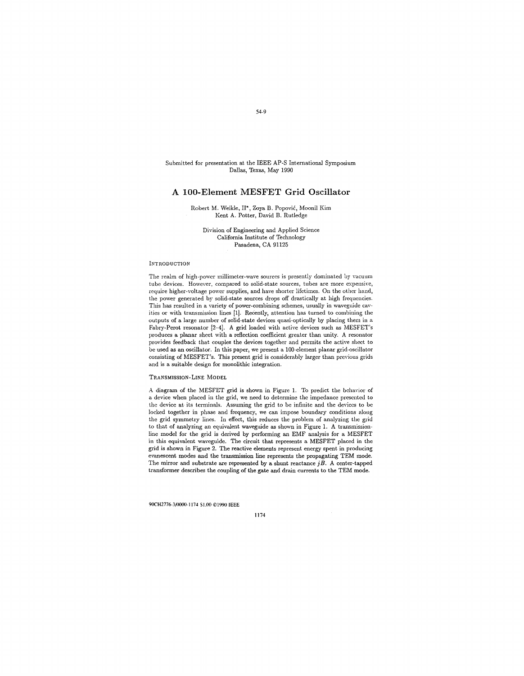Submitted for presentation at the IEEE AP-S International Symposium Dallas, Texas, May 1990

# **A 100-Element MESFET Grid Oscillator**

Robert M. Weikle, II\*, Zoya B. Popovic, Moonil Kim Kent A. Potter, David B. Rutledge

Division of Engineering and Applied Science California Institute of Technology Pasadena, CA 91125

#### INTRODUCTION

The realm of high-power millimeter-wave sources is presently dominated by vacuum tube devices. However, compared to solid-state sources, tubes are more expensive, require higher-voltage power supplies, and have shorter lifetimes. On the other hand, the power generated by solid-state sources drops off drastically at high frequencies. This has resulted in a variety of power-combining schemes, usually in waveguide cavities or with transmission lines [1]. Recently, attention has turned to combining the outputs of a large number of solid-state devices quasi-optically by placing them in a Fabry-Perot resonator  $[2-4]$ . A grid loaded with active devices such as MESFET's produces a planar sheet with a reflection coefficient greater than unity. A resonator provides feedback that couples the devices together and permits the active sheet to be used as an oscillator. In this paper, we present a 100-element planar grid-oscillator consisting of MESFET's. This present grid is considerably larger than previous grids and is a suitable design for monolithic integration.

#### TRANSMISSION-LINE MODEL

A diagram of the MESFET grid is shown in Figure 1. To predict the behavior of a device when placed in the grid, we need to determine the impedance presented to the device at its terminals. Assuming the grid to be infinite and the devices to be locked together in phase and frequency, we can impose boundary conditions along the grid symmetry lines. In effect, this reduces the problem of analyzing the grid to that of analyzing an equivalent waveguide as shown in Figure 1. A transmissionline model for the grid is derived by performing an EMF analysis for a MESFET in this equivalent waveguide. The circuit that represents a MESFET placed in the grid is shown in Figure 2. The reactive elements represent energy spent in producing evanescent modes and the transmission line represents the propagating TEM mode. The mirror and substrate are represented by a shunt reactance  $jB$ . A center-tapped transformer describes the coupling of the gate and drain currents to the TEM mode.

90CH2776-3/0000-1174 \$1.00 ©1990 IEEE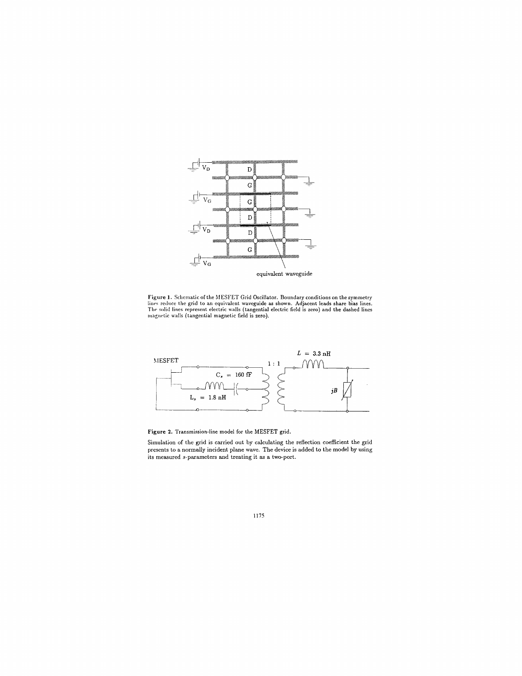

Figure 1. Schematic of the MESFET Grid Oscillator. Boundary conditions on the symmetry lines reduce the grid to an equivalent waveguide as shown. Adjacent leads share bias lines.<br>The solid lines represent electric walls (t



**Figure** 2. Transmission-line model for the MESFET grid.

Simulation of the grid is carried out by calculating the reflection coefficient the grid presents to a normally incident plane wave. The device is added to the model by using its measured s-parameters and treating it as a two-port.

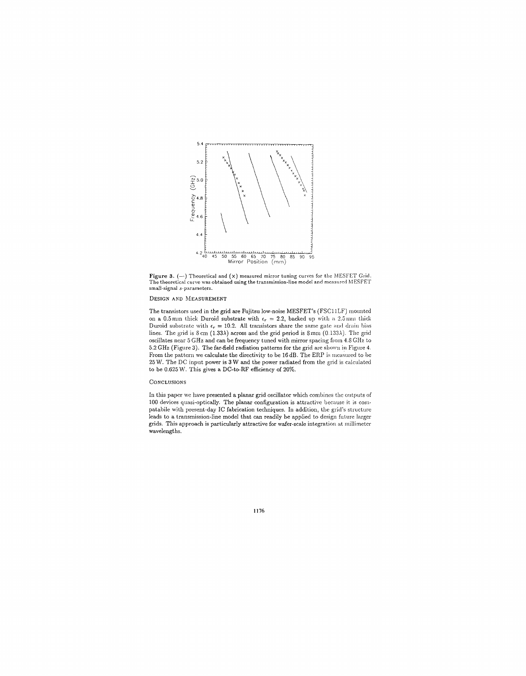

Figure 3.  $(-)$  Theoretical and  $(x)$  measured mirror tuning curves for the MESFET Grid. The theoretical curve was obtained using the transmission-line model and measured MESFET small-signal s-parameters.

## DESIGN AND MEASUREMENT

The transistors used in the grid are Fujitsu low-noise MESFET's (FSCllLF) mounted on a 0.5 mm thick Duroid substrate with  $\epsilon_r = 2.2$ , backed up with a 2.5 mm thick Duroid substrate with  $\epsilon_r = 10.2$ . All transistors share the same gate and drain bias lines. The grid is  $\text{S} \text{cm}$  (1.33 $\lambda$ ) across and the grid period is  $\text{S} \text{mm}$  (0.133 $\lambda$ ). The grid oscillates ncar 5 GHz and can be frequency tuned with mirror spacing from 4.8 GHr. to 5.2 GHz (Figure 3). The far-field radiation patterns for the grid arc shown in Figure 4. From the pattern we calculate the directivity to be 16 dB. The ERP is measured to be 25 *'N.* The DC input power is 3 W and the power radiated from the grid is calculated to be 0.625 W. This gives a DC-to-RF efficiency of 20%.

# **CONCLUSIONS**

In this paper we have presented a planar grid oscillator which combines the outputs of 100 devices quasi-optically. The planar configuration is attractive because it is corn· patabile with present-day IC fabrication techniques. In addition, the grid's structure leads to a transmission-line model that can readily be applied to design future larger grids. This approach is particularly attractive for wafer-scale integration at millimeter wavelengths.

1176